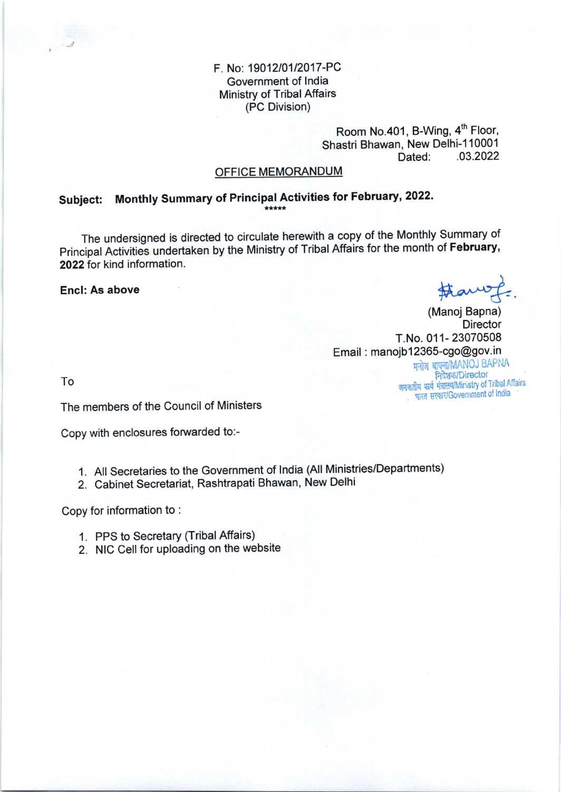#### F. No: 19012/0112017-PC Government of lndia Ministry of Tribal Affairs (PC Division)

Room No.401, B-Wing, 4<sup>th</sup> Floor, Shastri Bhawan, New Delhi-110001<br>03.2022. 03. 03.2022

#### OFFICE MEMORANDUM

# Subject: Monthly Summary of Principal Activities for February, 2022.

The undersigned is directed to circulate herewith a copy of the Monthly summary of Principal Activities undertaken by the Ministry of Tribal Affairs for the month of February, 2022 for kind information.

Encl: As above

#awy.

भारत सरकार/Government of India

(Manoj Bapna) **Director** T.No. 011- 23070508 Email : manojb1236S-cgo@gov.in मनोज बापना/MANOJ BAPNA<br>| निदेशक/Director

ro समाधा का जन्मीय कार्य मंत्रालय/Ministry of Tribal Affairs<br>जनजातीय कार्य मंत्रालय/Ministry of Tribal Affairs

The members of the Council of Ministers

Copy with enclosures forwarded to:-

- 1. All secretaries to the Government of lndia (All Ministries/Departments)
- 2. Cabinet Secretariat, Rashtrapati Bhawan, New Delhi

Copy for information to :

- 1. PPS to Secretary (Tribal Affairs)
- 2. NIC Cell for uploading on the website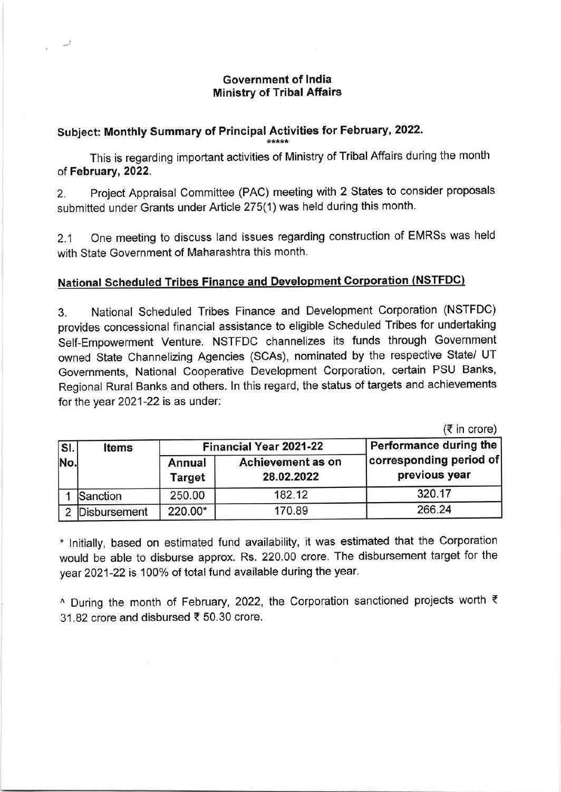#### Government of lndia Ministry of Tribal Affairs

### Subject: Monthly Summary of Principal Activities for February, 2022.

This is regarding important activities of Ministry of Tribal Affairs during the month of February,2022.

2. Project Appraisal Committee (PAC) meeting with 2 States to consider proposals submitted under Grants under Article 275(1) was held during this month.

2.1 One meeting to discuss land issues regarding construction of EMRSS was held with State Government of Maharashtra this month.

## **National Scheduled Tribes Finance and Development Corporation (NSTFDC)**

3. National Scheduled Tribes Finance and Development Corporation (NSTFDC) provides concessional financial assistance to eligible Scheduled Tribes for undertaking Self-Empowerment Venture. NSTFDC channelizes its funds through Government owned State Channelizing Agencies (SCAS), nominated by the respective State/ UT Governments, National Cooperative Development Corporation, certain PSU Banks, Regional Rural Banks and others. ln this regard, the status of targets and achievements for the year  $2021-22$  is as under:

 $(3 \nvert n \nvert c)$ 

| SI.<br>No. | Items        | <b>Financial Year 2021-22</b> |                                 | Performance during the                   |
|------------|--------------|-------------------------------|---------------------------------|------------------------------------------|
|            |              | Annual<br><b>Target</b>       | Achievement as on<br>28.02.2022 | corresponding period of<br>previous year |
|            | Sanction     | 250.00                        | 182.12                          | 320.17                                   |
|            | Disbursement | 220.00*                       | 170.89                          | 266.24                                   |

\* Initially, based on estimated fund availability, it was estimated that the Corporation would be able to disburse approx. Rs. 22O.OO crore. The disbursement target for the year 2021-22 is 100% of total fund available during the year.

 $\land$  During the month of February, 2022, the Corporation sanctioned projects worth  $\bar{\tau}$ 31.82 crore and disbursed < 50.30 crore.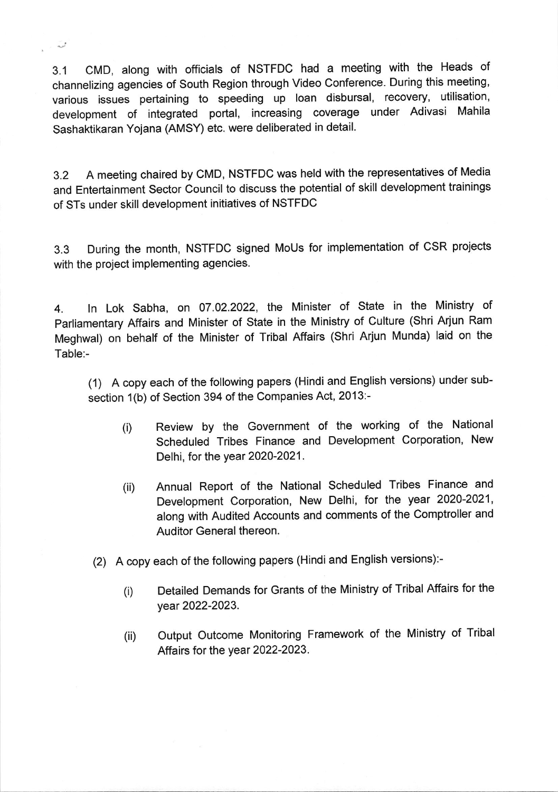3.1 CMD, along with officials of NSTFDC had a meeting with the Heads of channelizing agencies of South Region through Video Conference. During this meeting, various issues pertaining to speeding up loan disbursal, recovery, utilisation, development of integrated portal, increasing coverage under Adivasi Mahila Sashaktikaran Yojana (AMSY) etc. were deliberated in detail.

\*

3.2 <sup>A</sup>meeting chaired by cMD, NSTFDC was held with the representatives of Media and Entertainment Sector Council to discuss the potential of skill development trainings of STs under skill development initiatives of NSTFDC

3.3 During the month, NSTFDC signed MoUs for implementation of cSR projects with the project implementing agencies.

4. ln Lok Sabha, on 07.02.2022, lhe Minister of State in the Ministry of Parliamentary Affairs and Minister of State in the Ministry of Culture (Shri Arjun Ram Meghwal) on behalf of the Minister of Tribal Affairs (shri Arjun Munda) laid on the Table:-

(1) A copy each of the following papers (Hindi and English versions) under subsection 1(b) of Section 394 of the Companies Act, 2013:-

- (i) Review by the Government of the working of the National Scheduled Tribes Finance and Development Corporation, New Delhi, for the year 2O2O-2021.
- (ii) Annual Report of the National Scheduled Tribes Finance and Development Corporation, New Delhi, for the year 2020-2021, along with Audited Accounts and comments of the Comptroller and Auditor General thereon.
- (2) A copy each of the following papers (Hindi and English versions):-
	- (i) Detailed Demands for Grants of the Ministry of Tribal Affairs for the year 2022-2023.
	- (ii) Output Outcome Monitoring Framework of the Ministry of Tribal Affairs for the year 2022-2023.